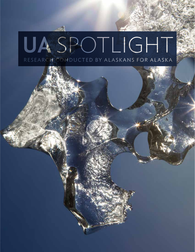# UASPOTLIGHT RESEARCH CONDUCTED BY ALASKANS FOR ALASKA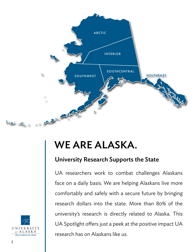

## WE ARE ALASKA.

### University Research Supports the State

UA researchers work to combat challenges Alaskans face on a daily basis. We are helping Alaskans live more comfortably and safely with a secure future by bringing research dollars into the state. More than 80% of the university's research is directly related to Alaska. This UA Spotlight offers just a peek at the positive impact UA research has on Alaskans like us.

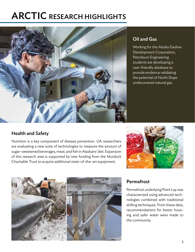### ARCTIC RESEARCH HIGHLIGHTS



#### Oil and Gas

Working for the Alaska Gasline Development Corporation, Petroleum Engineering students are developing a user-friendly database to provide evidence validating the potential of North Slope undiscovered natural gas.

#### Health and Safety

Nutrition is a key component of disease prevention. UA researchers are evaluating a new suite of technologies to measure the amount of sugar-sweetened beverages, meat, and fish in Alaskans' diet. Expansion of this research area is supported by new funding from the Murdock Charitable Trust to acquire additional state-of-the-art equipment.





#### Permafrost

Permafrost underlying Point Lay was characterized using advanced technologies combined with traditional drilling techniques. From these data, recommendations for better housing and safer water were made to the community.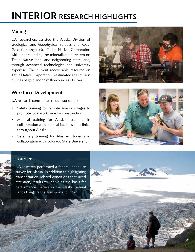### INTERIOR RESEARCH HIGHLIGHTS

#### Mining

UA researchers assisted the Alaska Division of Geological and Geophysical Surveys and Royal Gold-Contango Ore-Tetlin Native Corporation with understanding the mineralization system on Tetlin Native land, and neighboring state land, through advanced technologies and university expertise. The current recoverable resource on Tetlin Native Corporation is estimated at 1.1 million ounces of gold and 1.1 million ounces of silver.

#### Workforce Development

UA research contributes to our workforce:

- Safety training for remote Alaska villages to promote local workforce for construction
- Medical training for Alaskan students in collaboration with medical facilities and clinics throughout Alaska
- Veterinary training for Alaskan students in collaboration with Colorado State University





#### Tourism

4

UA research performed a federal lands use survey for Alaska. In addition to highlighting transportation-related conditions that need attention, results will serve as the basis for performance metrics in the Alaska Federal Lands Long-Range Transportation Plan.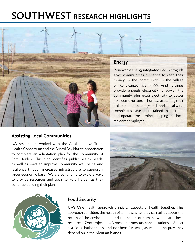### SOUTHWEST RESEARCH HIGHLIGHTS



#### Energy

Renewable energy integrated into microgrids gives communities a chance to keep their money in the community. In the village of Kongiganak, five 95kW wind turbines provide enough electricity to power the community, plus extra electricity to power 50 electric heaters in homes, stretching their dollars spent on energy and food. Local wind technicians have been trained to maintain and operate the turbines keeping the local residents employed.

#### Assisting Local Communities

UA researchers worked with the Alaska Native Tribal Health Consortium and the Bristol Bay Native Association to complete an adaptation plan for the community of Port Heiden. This plan identifies public health needs, as well as ways to improve community well-being and resilience through increased infrastructure to support a larger economic base. We are continuing to explore ways to provide resources and tools to Port Heiden as they continue building their plan.





#### Food Security

UA's One Health approach brings all aspects of health together. This approach considers the health of animals, what they can tell us about the health of the environment, and the health of humans who share these resources. One project at UA measures mercury concentrations in Steller sea lions, harbor seals, and northern fur seals, as well as the prey they depend on in the Aleutian Islands.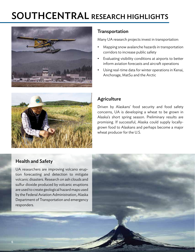### SOUTHCENTRAL RESEARCH HIGHLIGHTS



#### Transportation

Many UA research projects invest in transportation:

- Mapping snow avalanche hazards in transportation corridors to increase public safety
- Evaluating visibility conditions at airports to better inform aviation forecasts and aircraft operations
- Using real-time data for winter operations in Kenai, Anchorage, MatSu and the Arctic



#### **Agriculture**

Driven by Alaskans' food security and food safety concerns, UA is developing a wheat to be grown in Alaska's short spring season. Preliminary results are promising. If successful, Alaska could supply locallygrown food to Alaskans and perhaps become a major wheat producer for the U.S.

#### Health and Safety

UA researchers are improving volcano eruption forecasting and detection to mitigate volcanic disasters. Research on ash clouds and sulfur dioxide produced by volcanic eruptions are used to create geological hazard maps used by the Federal Aviation Administration, Alaska Department of Transportation and emergency responders.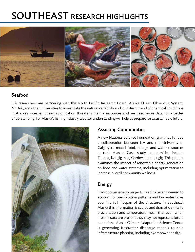### SOUTHEAST RESEARCH HIGHLIGHTS



#### Seafood

UA researchers are partnering with the North Pacific Research Board, Alaska Ocean Observing System, NOAA, and other universities to investigate the natural variability and long-term trend of chemical conditions in Alaska's oceans. Ocean acidification threatens marine resources and we need more data for a better understanding. For Alaska's fishing industry, a better understanding will help us prepare for a sustainable future.



#### Assisting Communities

A new National Science Foundation grant has funded a collaboration between UA and the University of Calgary to model food, energy, and water resources in rural Alaska. Case study communities include Tanana, Kongiganak, Cordova and Igiugig. This project examines the impact of renewable energy generation on food and water systems, including optimization to increase overall community wellness.

#### Energy

Hydropower energy projects need to be engineered to account for precipitation patterns and low water flows over the full lifespan of the structure. In Southeast Alaska this information is scarce and dramatic shifts to precipitation and temperature mean that even when historic data are present they may not represent future conditions. Alaska Climate Adaptation Science Center is generating freshwater discharge models to help infrastructure planning, including hydropower design.